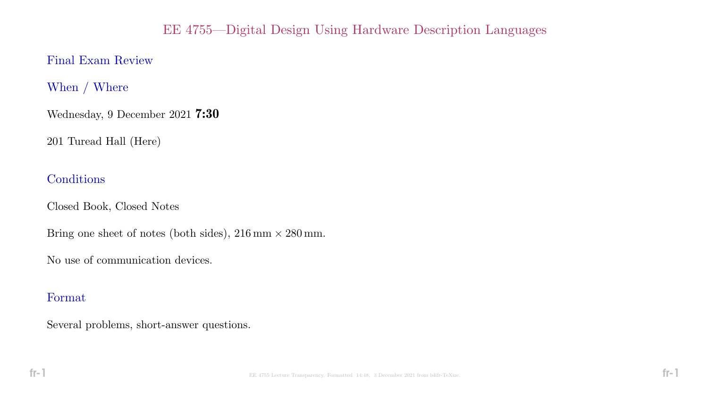# EE 4755—Digital Design Using Hardware Description Languages

## Final Exam Review

## When / Where

Wednesday, 9 December 2021 7:30

201 Turead Hall (Here)

### **Conditions**

Closed Book, Closed Notes

Bring one sheet of notes (both sides),  $216 \text{ mm} \times 280 \text{ mm}$ .

No use of communication devices.

### Format

Several problems, short-answer questions.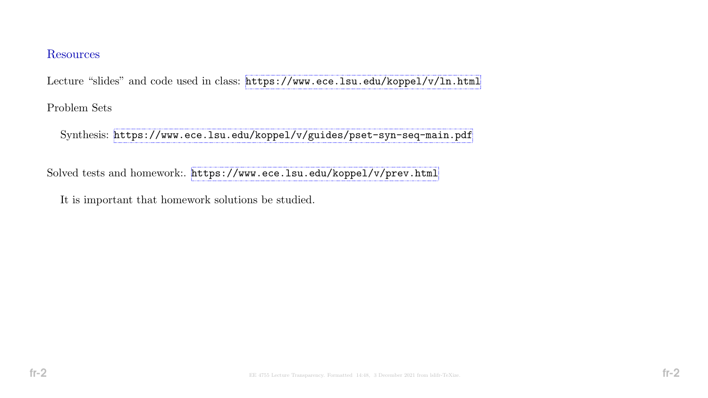#### Resources

Lecture "slides" and code used in class: <https://www.ece.lsu.edu/koppel/v/ln.html>

Problem Sets

Synthesis: <https://www.ece.lsu.edu/koppel/v/guides/pset-syn-seq-main.pdf>

Solved tests and homework:. <https://www.ece.lsu.edu/koppel/v/prev.html>

It is important that homework solutions be studied.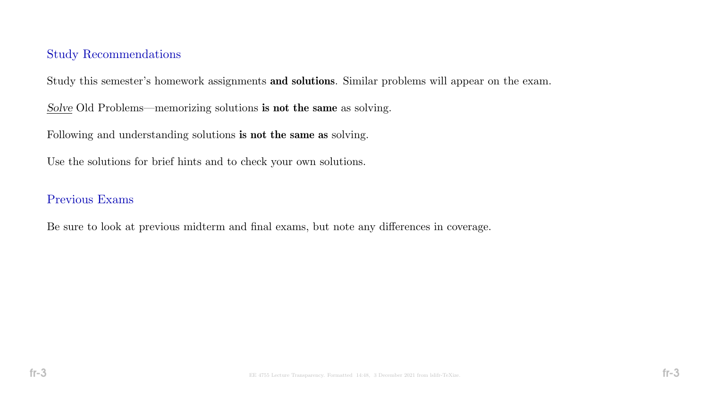#### Study Recommendations

Study this semester's homework assignments and solutions. Similar problems will appear on the exam.

Solve Old Problems—memorizing solutions is not the same as solving.

Following and understanding solutions is not the same as solving.

Use the solutions for brief hints and to check your own solutions.

### Previous Exams

Be sure to look at previous midterm and final exams, but note any differences in coverage.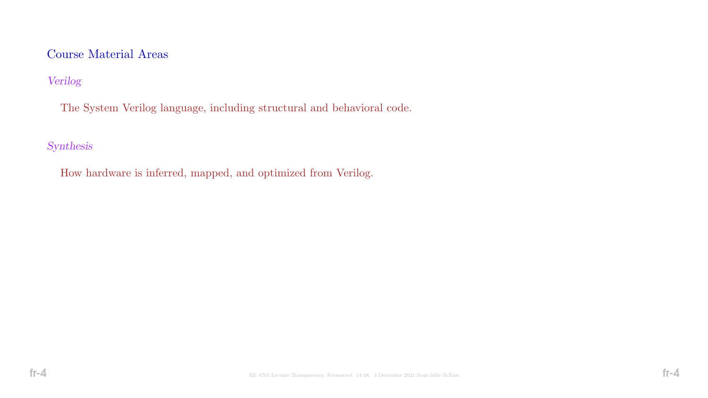### Course Material Areas

### Verilog

The System Verilog language, including structural and behavioral code.

### Synthesis

How hardware is inferred, mapped, and optimized from Verilog.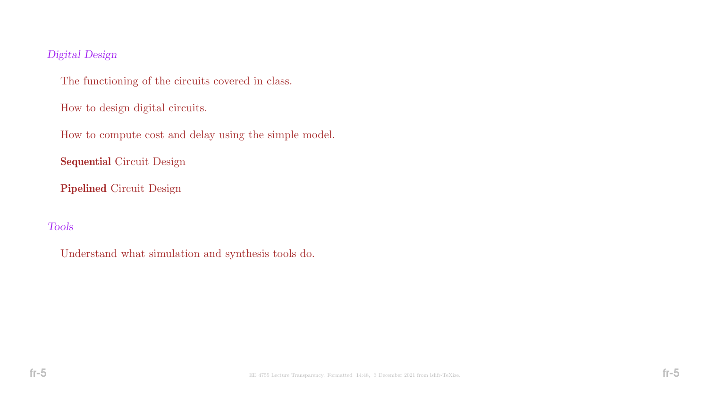#### Digital Design

- The functioning of the circuits covered in class.
- How to design digital circuits.
- How to compute cost and delay using the simple model.
- Sequential Circuit Design
- Pipelined Circuit Design

#### Tools

Understand what simulation and synthesis tools do.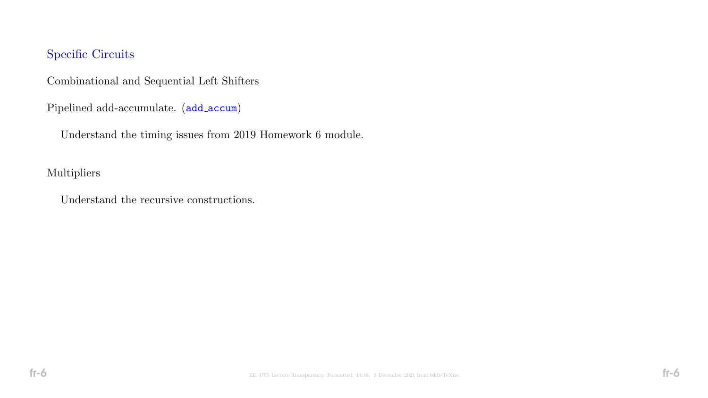## Specific Circuits

Combinational and Sequential Left Shifters

Pipelined add-accumulate. (add\_accum)

Understand the timing issues from 2019 Homework 6 module.

Multipliers

Understand the recursive constructions.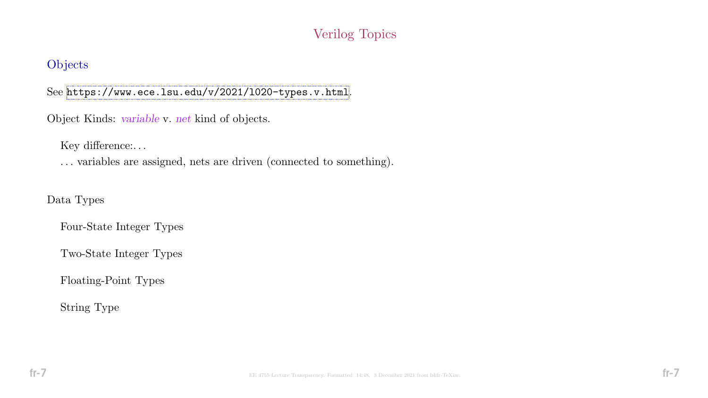# Verilog Topics

## **Objects**

See <https://www.ece.lsu.edu/v/2021/l020-types.v.html>.

Object Kinds: variable v. net kind of objects.

Key difference:...

. . . variables are assigned, nets are driven (connected to something).

Data Types

Four-State Integer Types

Two-State Integer Types

Floating-Point Types

String Type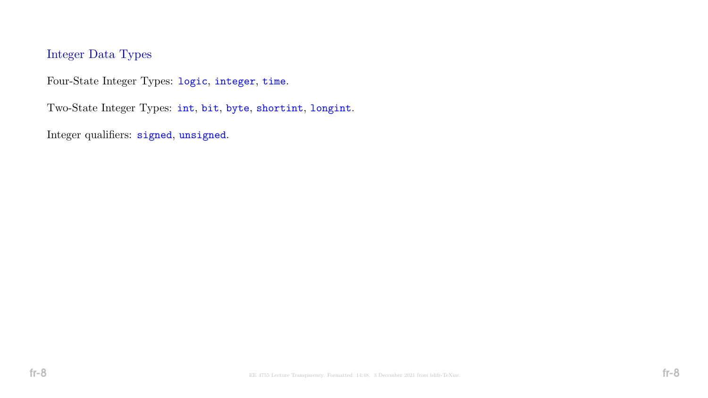## Integer Data Types

Four-State Integer Types: logic, integer, time.

Two-State Integer Types: int, bit, byte, shortint, longint.

Integer qualifiers: signed, unsigned.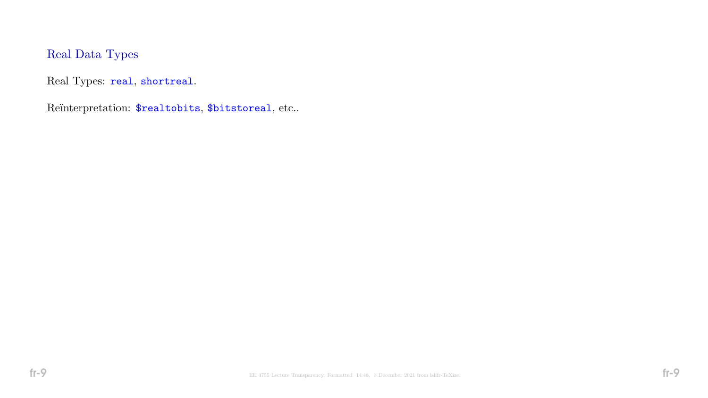# Real Data Types

Real Types: real, shortreal.

Reïnterpretation: \$realtobits, \$bitstoreal, etc..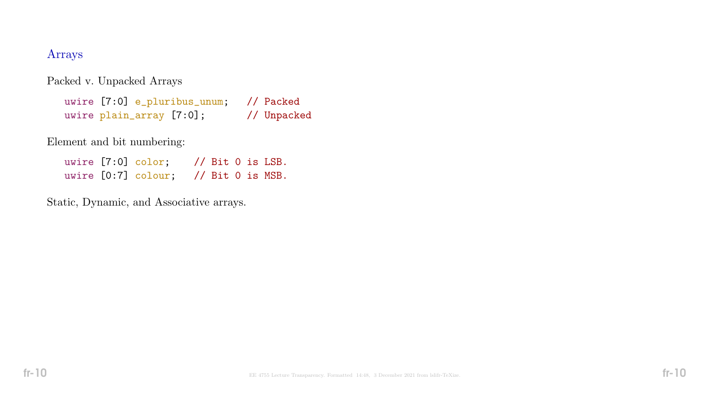### Arrays

Packed v. Unpacked Arrays

uwire [7:0] e\_pluribus\_unum; // Packed uwire plain\_array [7:0]; // Unpacked

Element and bit numbering:

uwire [7:0] color; // Bit 0 is LSB. uwire [0:7] colour; // Bit 0 is MSB.

Static, Dynamic, and Associative arrays.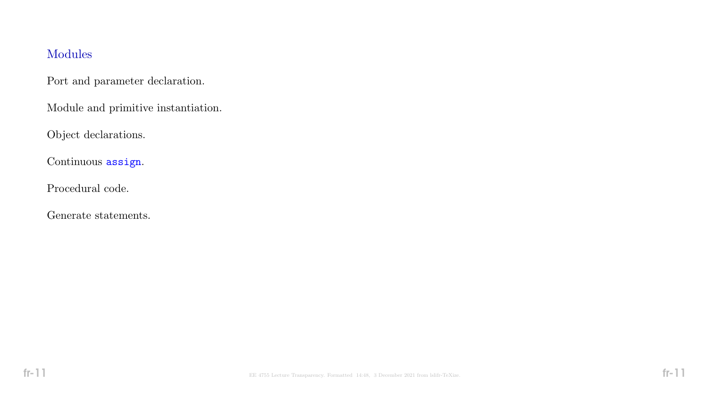# Modules

Port and parameter declaration.

Module and primitive instantiation.

Object declarations.

Continuous assign.

Procedural code.

Generate statements.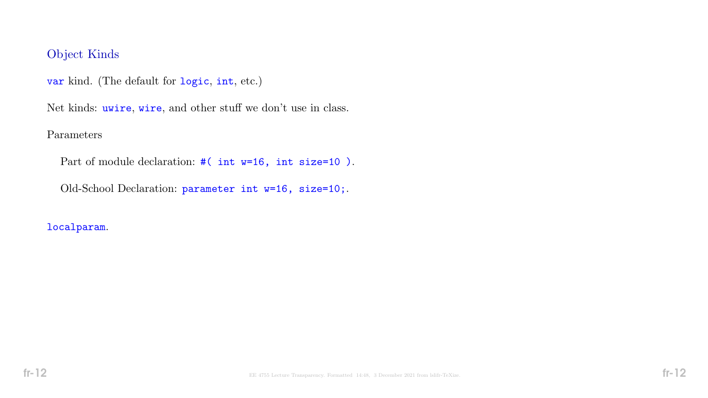#### Object Kinds

var kind. (The default for logic, int, etc.)

Net kinds: uwire, wire, and other stuff we don't use in class.

#### Parameters

Part of module declaration:  $\#$ ( int w=16, int size=10).

Old-School Declaration: parameter int w=16, size=10;.

#### localparam.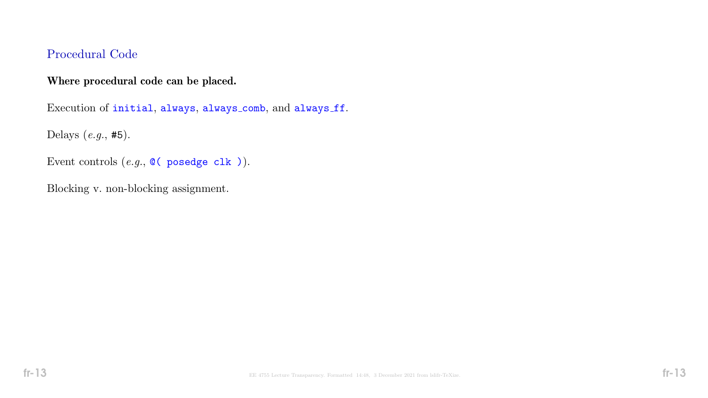### Procedural Code

Where procedural code can be placed.

Execution of initial, always, always comb, and always ff.

Delays (e.g., #5).

Event controls  $(e.g., \, \mathbb{Q}(\text{posedge } \text{clk })).$ 

Blocking v. non-blocking assignment.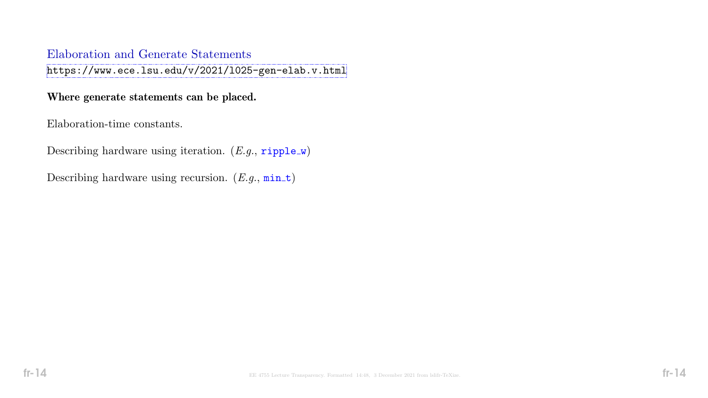#### Elaboration and Generate Statements

<https://www.ece.lsu.edu/v/2021/l025-gen-elab.v.html>

Where generate statements can be placed.

Elaboration-time constants.

Describing hardware using iteration.  $(E.g.,$  ripple\_w)

Describing hardware using recursion.  $(E.g., min_t)$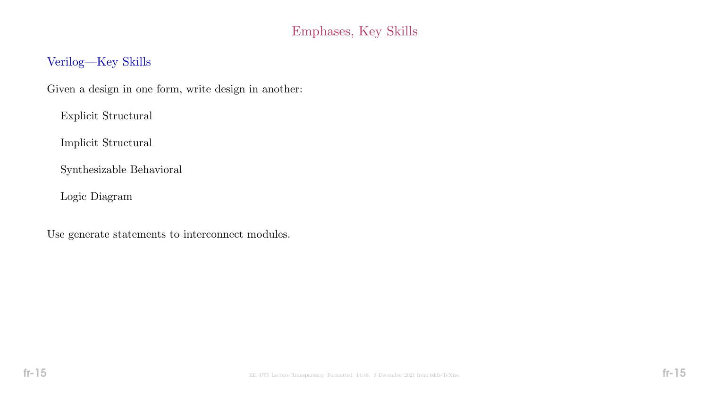# Emphases, Key Skills

# Verilog—Key Skills

Given a design in one form, write design in another:

Explicit Structural

Implicit Structural

Synthesizable Behavioral

Logic Diagram

Use generate statements to interconnect modules.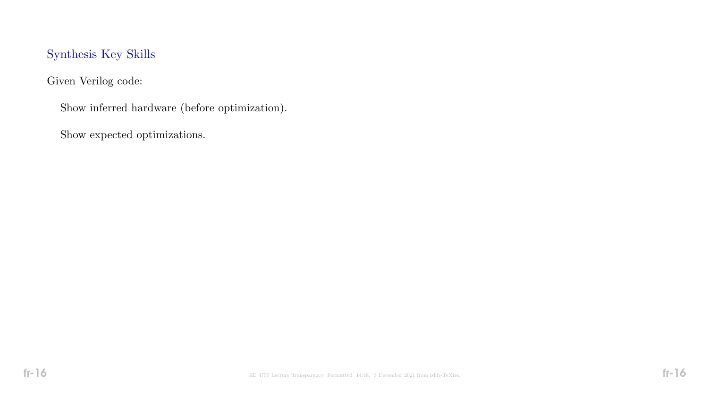## Synthesis Key Skills

Given Verilog code:

Show inferred hardware (before optimization).

Show expected optimizations.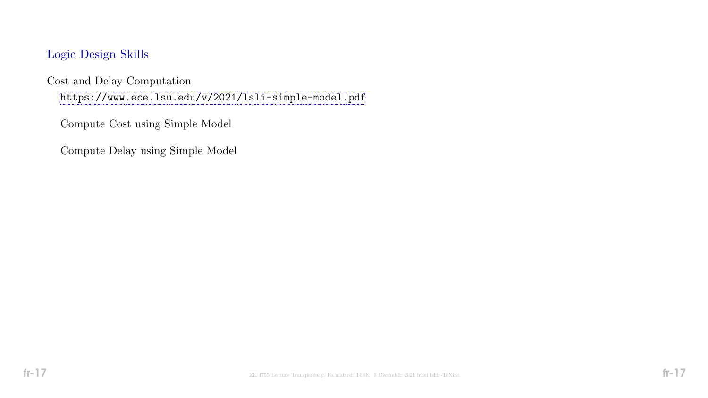### Logic Design Skills

Cost and Delay Computation

<https://www.ece.lsu.edu/v/2021/lsli-simple-model.pdf>

Compute Cost using Simple Model

Compute Delay using Simple Model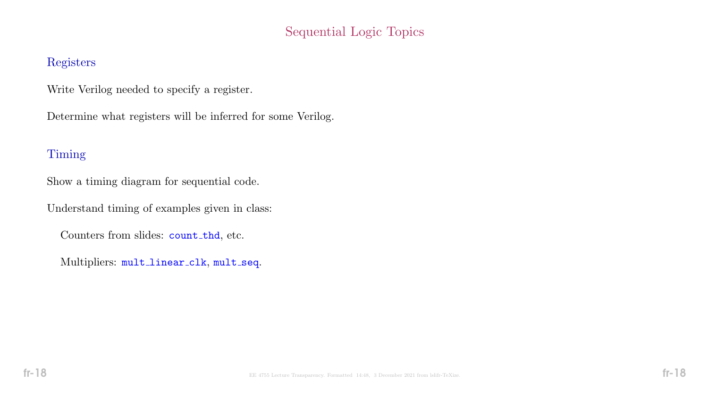# Sequential Logic Topics

## Registers

Write Verilog needed to specify a register.

Determine what registers will be inferred for some Verilog.

### Timing

Show a timing diagram for sequential code.

Understand timing of examples given in class:

Counters from slides: count\_thd, etc.

Multipliers: mult\_linear\_clk, mult\_seq.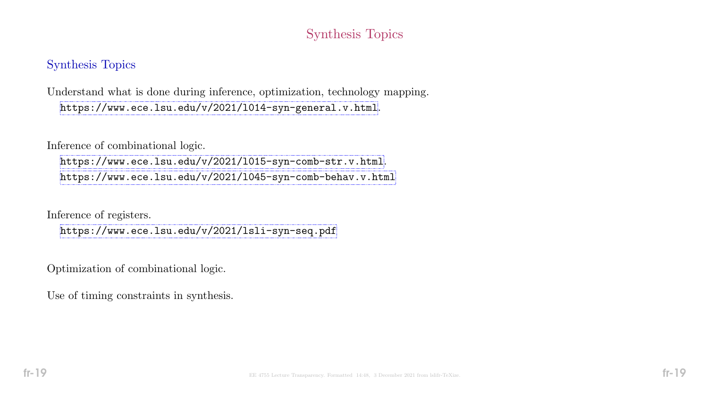# Synthesis Topics

## Synthesis Topics

Understand what is done during inference, optimization, technology mapping. <https://www.ece.lsu.edu/v/2021/l014-syn-general.v.html>.

Inference of combinational logic.

<https://www.ece.lsu.edu/v/2021/l015-syn-comb-str.v.html>. <https://www.ece.lsu.edu/v/2021/l045-syn-comb-behav.v.html>

Inference of registers.

<https://www.ece.lsu.edu/v/2021/lsli-syn-seq.pdf>

Optimization of combinational logic.

Use of timing constraints in synthesis.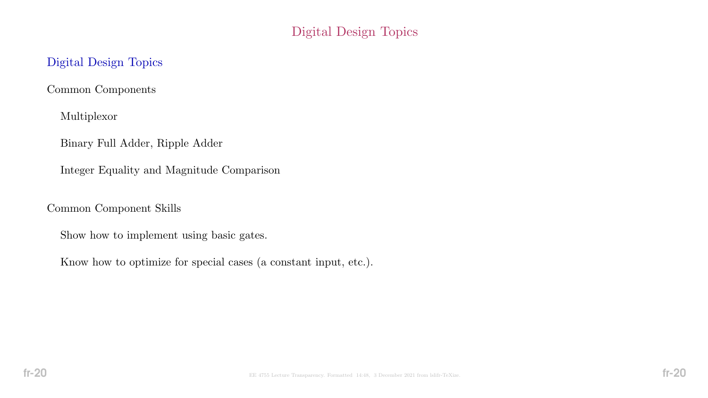# Digital Design Topics

# Digital Design Topics

Common Components

Multiplexor

Binary Full Adder, Ripple Adder

Integer Equality and Magnitude Comparison

Common Component Skills

Show how to implement using basic gates.

Know how to optimize for special cases (a constant input, etc.).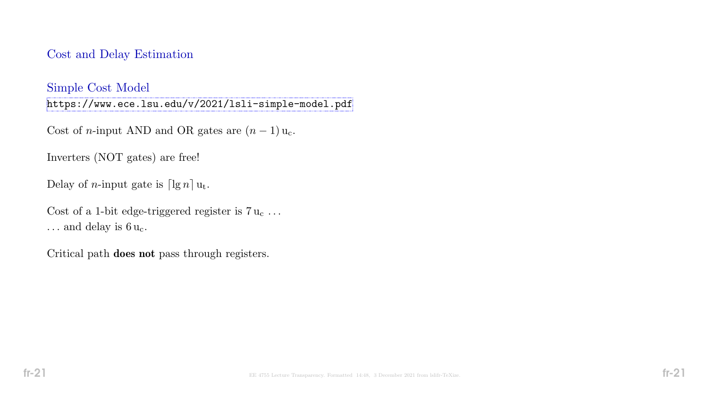#### Cost and Delay Estimation

## Simple Cost Model

<https://www.ece.lsu.edu/v/2021/lsli-simple-model.pdf>

Cost of n-input AND and OR gates are  $(n-1)$  u<sub>c</sub>.

Inverters (NOT gates) are free!

Delay of *n*-input gate is  $\lceil \lg n \rceil u_t$ .

Cost of a 1-bit edge-triggered register is  $7 u_c \ldots$  $\ldots$  and delay is  $6 u_c$ .

Critical path does not pass through registers.